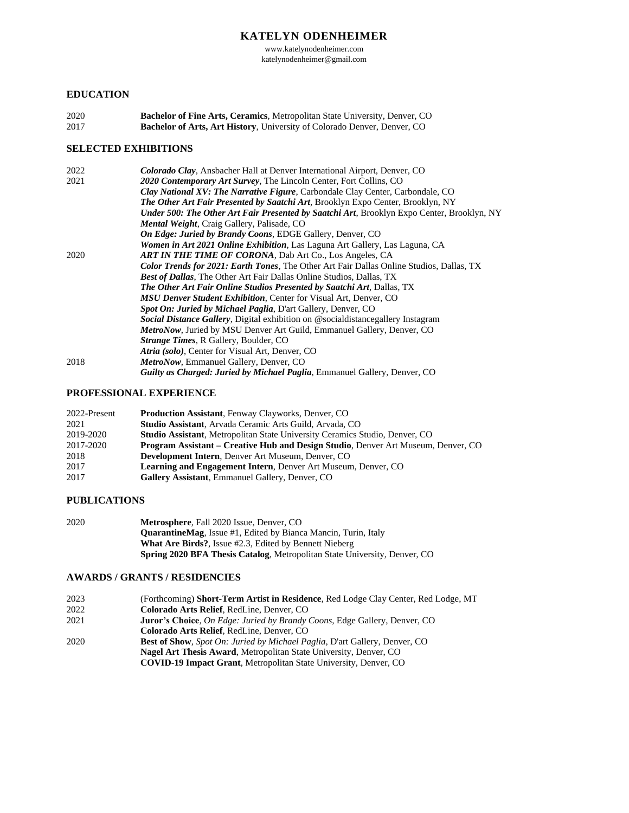# **KATELYN ODENHEIMER**

www.katelynodenheimer.com katelynodenheimer@gmail.com

### **EDUCATION**

2020 **Bachelor of Fine Arts, Ceramics**, Metropolitan State University, Denver, CO 2017 **Bachelor of Arts, Art History**, University of Colorado Denver, Denver, CO

# **SELECTED EXHIBITIONS**

| 2022 | Colorado Clay, Ansbacher Hall at Denver International Airport, Denver, CO                  |
|------|--------------------------------------------------------------------------------------------|
| 2021 | 2020 Contemporary Art Survey, The Lincoln Center, Fort Collins, CO                         |
|      | <b>Clay National XV: The Narrative Figure, Carbondale Clay Center, Carbondale, CO</b>      |
|      | <b>The Other Art Fair Presented by Saatchi Art, Brooklyn Expo Center, Brooklyn, NY</b>     |
|      | Under 500: The Other Art Fair Presented by Saatchi Art, Brooklyn Expo Center, Brooklyn, NY |
|      | <b>Mental Weight, Craig Gallery, Palisade, CO</b>                                          |
|      | <b>On Edge: Juried by Brandy Coons, EDGE Gallery, Denver, CO</b>                           |
|      | <b>Women in Art 2021 Online Exhibition, Las Laguna Art Gallery, Las Laguna, CA</b>         |
| 2020 | <b>ART IN THE TIME OF CORONA, Dab Art Co., Los Angeles, CA</b>                             |
|      | Color Trends for 2021: Earth Tones, The Other Art Fair Dallas Online Studios, Dallas, TX   |
|      | <b>Best of Dallas, The Other Art Fair Dallas Online Studios, Dallas, TX</b>                |
|      | <b>The Other Art Fair Online Studios Presented by Saatchi Art, Dallas, TX</b>              |
|      | <b>MSU Denver Student Exhibition, Center for Visual Art, Denver, CO</b>                    |
|      | <b>Spot On: Juried by Michael Paglia, D'art Gallery, Denver, CO</b>                        |
|      | <b>Social Distance Gallery, Digital exhibition on @socialdistancegallery Instagram</b>     |
|      | MetroNow, Juried by MSU Denver Art Guild, Emmanuel Gallery, Denver, CO                     |
|      | <i>Strange Times, R Gallery, Boulder, CO</i>                                               |
|      | Atria (solo), Center for Visual Art, Denver, CO                                            |
| 2018 | MetroNow, Emmanuel Gallery, Denver, CO                                                     |
|      | <b>Guilty as Charged: Juried by Michael Paglia, Emmanuel Gallery, Denver, CO</b>           |

#### **PROFESSIONAL EXPERIENCE**

| 2022-Present | <b>Production Assistant, Fenway Clayworks, Denver, CO</b>                                |
|--------------|------------------------------------------------------------------------------------------|
| 2021         | Studio Assistant, Arvada Ceramic Arts Guild, Arvada, CO                                  |
| 2019-2020    | <b>Studio Assistant, Metropolitan State University Ceramics Studio, Denver, CO</b>       |
| 2017-2020    | <b>Program Assistant – Creative Hub and Design Studio, Denver Art Museum, Denver, CO</b> |
| 2018         | <b>Development Intern, Denver Art Museum, Denver, CO</b>                                 |
| 2017         | <b>Learning and Engagement Intern, Denver Art Museum, Denver, CO</b>                     |
| 2017         | <b>Gallery Assistant, Emmanuel Gallery, Denver, CO</b>                                   |

### **PUBLICATIONS**

| 2020 | <b>Metrosphere, Fall 2020 Issue, Denver, CO</b>                                  |
|------|----------------------------------------------------------------------------------|
|      | <b>QuarantineMag.</b> Issue #1, Edited by Bianca Mancin, Turin, Italy            |
|      | <b>What Are Birds?, Issue #2.3, Edited by Bennett Nieberg</b>                    |
|      | <b>Spring 2020 BFA Thesis Catalog, Metropolitan State University, Denver, CO</b> |

# **AWARDS / GRANTS / RESIDENCIES**

| (Forthcoming) <b>Short-Term Artist in Residence</b> , Red Lodge Clay Center, Red Lodge, MT |
|--------------------------------------------------------------------------------------------|
| Colorado Arts Relief. RedLine. Denver. CO                                                  |
| <b>Juror's Choice, On Edge: Juried by Brandy Coons, Edge Gallery, Denver, CO</b>           |
| Colorado Arts Relief. RedLine. Denver. CO                                                  |
| <b>Best of Show,</b> Spot On: Juried by Michael Paglia, D'art Gallery, Denver, CO          |
| <b>Nagel Art Thesis Award, Metropolitan State University, Denver, CO</b>                   |
| <b>COVID-19 Impact Grant, Metropolitan State University, Denver, CO</b>                    |
|                                                                                            |